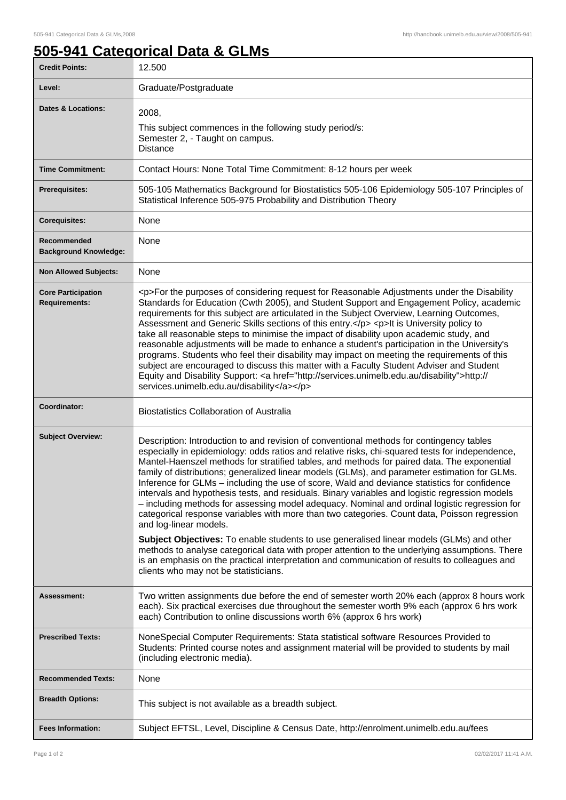## **505-941 Categorical Data & GLMs**

| <b>Credit Points:</b>                             | 12.500                                                                                                                                                                                                                                                                                                                                                                                                                                                                                                                                                                                                                                                                                                                                                                                                                                                                                                                                                                                                                                                                                                                  |
|---------------------------------------------------|-------------------------------------------------------------------------------------------------------------------------------------------------------------------------------------------------------------------------------------------------------------------------------------------------------------------------------------------------------------------------------------------------------------------------------------------------------------------------------------------------------------------------------------------------------------------------------------------------------------------------------------------------------------------------------------------------------------------------------------------------------------------------------------------------------------------------------------------------------------------------------------------------------------------------------------------------------------------------------------------------------------------------------------------------------------------------------------------------------------------------|
| Level:                                            | Graduate/Postgraduate                                                                                                                                                                                                                                                                                                                                                                                                                                                                                                                                                                                                                                                                                                                                                                                                                                                                                                                                                                                                                                                                                                   |
| <b>Dates &amp; Locations:</b>                     | 2008,<br>This subject commences in the following study period/s:<br>Semester 2, - Taught on campus.<br><b>Distance</b>                                                                                                                                                                                                                                                                                                                                                                                                                                                                                                                                                                                                                                                                                                                                                                                                                                                                                                                                                                                                  |
| <b>Time Commitment:</b>                           | Contact Hours: None Total Time Commitment: 8-12 hours per week                                                                                                                                                                                                                                                                                                                                                                                                                                                                                                                                                                                                                                                                                                                                                                                                                                                                                                                                                                                                                                                          |
| <b>Prerequisites:</b>                             | 505-105 Mathematics Background for Biostatistics 505-106 Epidemiology 505-107 Principles of<br>Statistical Inference 505-975 Probability and Distribution Theory                                                                                                                                                                                                                                                                                                                                                                                                                                                                                                                                                                                                                                                                                                                                                                                                                                                                                                                                                        |
| <b>Corequisites:</b>                              | None                                                                                                                                                                                                                                                                                                                                                                                                                                                                                                                                                                                                                                                                                                                                                                                                                                                                                                                                                                                                                                                                                                                    |
| Recommended<br><b>Background Knowledge:</b>       | None                                                                                                                                                                                                                                                                                                                                                                                                                                                                                                                                                                                                                                                                                                                                                                                                                                                                                                                                                                                                                                                                                                                    |
| <b>Non Allowed Subjects:</b>                      | None                                                                                                                                                                                                                                                                                                                                                                                                                                                                                                                                                                                                                                                                                                                                                                                                                                                                                                                                                                                                                                                                                                                    |
| <b>Core Participation</b><br><b>Requirements:</b> | <p>For the purposes of considering request for Reasonable Adjustments under the Disability<br/>Standards for Education (Cwth 2005), and Student Support and Engagement Policy, academic<br/>requirements for this subject are articulated in the Subject Overview, Learning Outcomes,<br/>Assessment and Generic Skills sections of this entry.</p> <p>lt is University policy to<br/>take all reasonable steps to minimise the impact of disability upon academic study, and<br/>reasonable adjustments will be made to enhance a student's participation in the University's<br/>programs. Students who feel their disability may impact on meeting the requirements of this<br/>subject are encouraged to discuss this matter with a Faculty Student Adviser and Student<br/>Equity and Disability Support: &lt; a href="http://services.unimelb.edu.au/disability"&gt;http://<br/>services.unimelb.edu.au/disability</p>                                                                                                                                                                                            |
| Coordinator:                                      | <b>Biostatistics Collaboration of Australia</b>                                                                                                                                                                                                                                                                                                                                                                                                                                                                                                                                                                                                                                                                                                                                                                                                                                                                                                                                                                                                                                                                         |
| <b>Subject Overview:</b>                          | Description: Introduction to and revision of conventional methods for contingency tables<br>especially in epidemiology: odds ratios and relative risks, chi-squared tests for independence,<br>Mantel-Haenszel methods for stratified tables, and methods for paired data. The exponential<br>family of distributions; generalized linear models (GLMs), and parameter estimation for GLMs.<br>Inference for GLMs – including the use of score, Wald and deviance statistics for confidence<br>intervals and hypothesis tests, and residuals. Binary variables and logistic regression models<br>- including methods for assessing model adequacy. Nominal and ordinal logistic regression for<br>categorical response variables with more than two categories. Count data, Poisson regression<br>and log-linear models.<br>Subject Objectives: To enable students to use generalised linear models (GLMs) and other<br>methods to analyse categorical data with proper attention to the underlying assumptions. There<br>is an emphasis on the practical interpretation and communication of results to colleagues and |
|                                                   | clients who may not be statisticians.                                                                                                                                                                                                                                                                                                                                                                                                                                                                                                                                                                                                                                                                                                                                                                                                                                                                                                                                                                                                                                                                                   |
| Assessment:                                       | Two written assignments due before the end of semester worth 20% each (approx 8 hours work<br>each). Six practical exercises due throughout the semester worth 9% each (approx 6 hrs work<br>each) Contribution to online discussions worth 6% (approx 6 hrs work)                                                                                                                                                                                                                                                                                                                                                                                                                                                                                                                                                                                                                                                                                                                                                                                                                                                      |
| <b>Prescribed Texts:</b>                          | NoneSpecial Computer Requirements: Stata statistical software Resources Provided to<br>Students: Printed course notes and assignment material will be provided to students by mail<br>(including electronic media).                                                                                                                                                                                                                                                                                                                                                                                                                                                                                                                                                                                                                                                                                                                                                                                                                                                                                                     |
| <b>Recommended Texts:</b>                         | None                                                                                                                                                                                                                                                                                                                                                                                                                                                                                                                                                                                                                                                                                                                                                                                                                                                                                                                                                                                                                                                                                                                    |
| <b>Breadth Options:</b>                           | This subject is not available as a breadth subject.                                                                                                                                                                                                                                                                                                                                                                                                                                                                                                                                                                                                                                                                                                                                                                                                                                                                                                                                                                                                                                                                     |
| <b>Fees Information:</b>                          | Subject EFTSL, Level, Discipline & Census Date, http://enrolment.unimelb.edu.au/fees                                                                                                                                                                                                                                                                                                                                                                                                                                                                                                                                                                                                                                                                                                                                                                                                                                                                                                                                                                                                                                    |